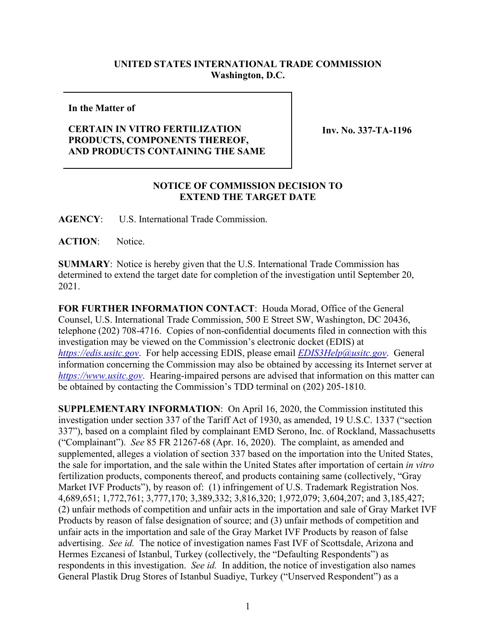## **UNITED STATES INTERNATIONAL TRADE COMMISSION Washington, D.C.**

## **In the Matter of**

## **CERTAIN IN VITRO FERTILIZATION PRODUCTS, COMPONENTS THEREOF, AND PRODUCTS CONTAINING THE SAME**

**Inv. No. 337-TA-1196**

## **NOTICE OF COMMISSION DECISION TO EXTEND THE TARGET DATE**

**AGENCY**: U.S. International Trade Commission.

**ACTION**: Notice.

**SUMMARY**: Notice is hereby given that the U.S. International Trade Commission has determined to extend the target date for completion of the investigation until September 20, 2021.

**FOR FURTHER INFORMATION CONTACT**: Houda Morad, Office of the General Counsel, U.S. International Trade Commission, 500 E Street SW, Washington, DC 20436, telephone (202) 708-4716. Copies of non-confidential documents filed in connection with this investigation may be viewed on the Commission's electronic docket (EDIS) at *[https://edis.usitc.gov](https://edis.usitc.gov/)*. For help accessing EDIS, please email *[EDIS3Help@usitc.gov](mailto:EDIS3Help@usitc.gov)*. General information concerning the Commission may also be obtained by accessing its Internet server at *[https://www.usitc.gov](https://www.usitc.gov/)*. Hearing-impaired persons are advised that information on this matter can be obtained by contacting the Commission's TDD terminal on (202) 205-1810.

**SUPPLEMENTARY INFORMATION**: On April 16, 2020, the Commission instituted this investigation under section 337 of the Tariff Act of 1930, as amended, 19 U.S.C. 1337 ("section 337"), based on a complaint filed by complainant EMD Serono, Inc. of Rockland, Massachusetts ("Complainant"). *See* 85 FR 21267-68 (Apr. 16, 2020). The complaint, as amended and supplemented, alleges a violation of section 337 based on the importation into the United States, the sale for importation, and the sale within the United States after importation of certain *in vitro* fertilization products, components thereof, and products containing same (collectively, "Gray Market IVF Products"), by reason of: (1) infringement of U.S. Trademark Registration Nos. 4,689,651; 1,772,761; 3,777,170; 3,389,332; 3,816,320; 1,972,079; 3,604,207; and 3,185,427; (2) unfair methods of competition and unfair acts in the importation and sale of Gray Market IVF Products by reason of false designation of source; and (3) unfair methods of competition and unfair acts in the importation and sale of the Gray Market IVF Products by reason of false advertising. *See id.* The notice of investigation names Fast IVF of Scottsdale, Arizona and Hermes Ezcanesi of Istanbul, Turkey (collectively, the "Defaulting Respondents") as respondents in this investigation. *See id.* In addition, the notice of investigation also names General Plastik Drug Stores of Istanbul Suadiye, Turkey ("Unserved Respondent") as a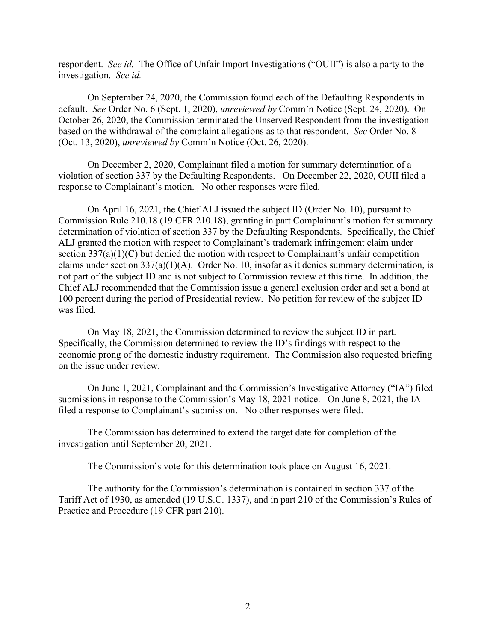respondent. *See id.* The Office of Unfair Import Investigations ("OUII") is also a party to the investigation. *See id.* 

On September 24, 2020, the Commission found each of the Defaulting Respondents in default. *See* Order No. 6 (Sept. 1, 2020), *unreviewed by* Comm'n Notice (Sept. 24, 2020). On October 26, 2020, the Commission terminated the Unserved Respondent from the investigation based on the withdrawal of the complaint allegations as to that respondent. *See* Order No. 8 (Oct. 13, 2020), *unreviewed by* Comm'n Notice (Oct. 26, 2020).

On December 2, 2020, Complainant filed a motion for summary determination of a violation of section 337 by the Defaulting Respondents. On December 22, 2020, OUII filed a response to Complainant's motion. No other responses were filed.

On April 16, 2021, the Chief ALJ issued the subject ID (Order No. 10), pursuant to Commission Rule 210.18 (19 CFR 210.18), granting in part Complainant's motion for summary determination of violation of section 337 by the Defaulting Respondents. Specifically, the Chief ALJ granted the motion with respect to Complainant's trademark infringement claim under section 337(a)(1)(C) but denied the motion with respect to Complainant's unfair competition claims under section  $337(a)(1)(A)$ . Order No. 10, insofar as it denies summary determination, is not part of the subject ID and is not subject to Commission review at this time. In addition, the Chief ALJ recommended that the Commission issue a general exclusion order and set a bond at 100 percent during the period of Presidential review. No petition for review of the subject ID was filed.

On May 18, 2021, the Commission determined to review the subject ID in part. Specifically, the Commission determined to review the ID's findings with respect to the economic prong of the domestic industry requirement. The Commission also requested briefing on the issue under review.

On June 1, 2021, Complainant and the Commission's Investigative Attorney ("IA") filed submissions in response to the Commission's May 18, 2021 notice. On June 8, 2021, the IA filed a response to Complainant's submission. No other responses were filed.

The Commission has determined to extend the target date for completion of the investigation until September 20, 2021.

The Commission's vote for this determination took place on August 16, 2021.

The authority for the Commission's determination is contained in section 337 of the Tariff Act of 1930, as amended (19 U.S.C. 1337), and in part 210 of the Commission's Rules of Practice and Procedure (19 CFR part 210).